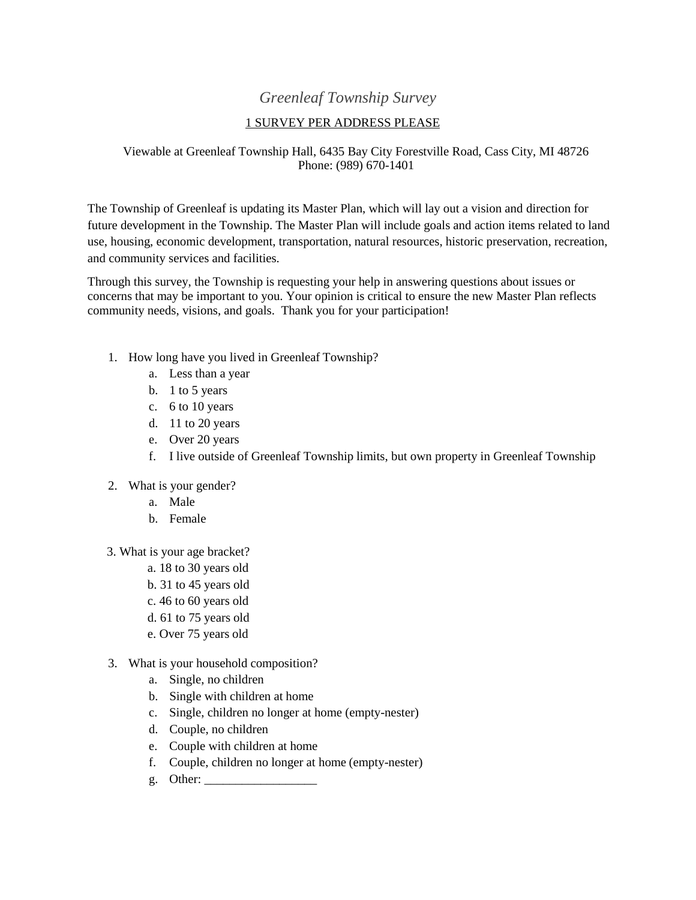## *Greenleaf Township Survey*

## 1 SURVEY PER ADDRESS PLEASE

## Viewable at Greenleaf Township Hall, 6435 Bay City Forestville Road, Cass City, MI 48726 Phone: (989) 670-1401

The Township of Greenleaf is updating its Master Plan, which will lay out a vision and direction for future development in the Township. The Master Plan will include goals and action items related to land use, housing, economic development, transportation, natural resources, historic preservation, recreation, and community services and facilities.

Through this survey, the Township is requesting your help in answering questions about issues or concerns that may be important to you. Your opinion is critical to ensure the new Master Plan reflects community needs, visions, and goals. Thank you for your participation!

- 1. How long have you lived in Greenleaf Township?
	- a. Less than a year
	- b. 1 to 5 years
	- c. 6 to 10 years
	- d. 11 to 20 years
	- e. Over 20 years
	- f. I live outside of Greenleaf Township limits, but own property in Greenleaf Township
- 2. What is your gender?
	- a. Male
	- b. Female
- 3. What is your age bracket?
	- a. 18 to 30 years old
	- b. 31 to 45 years old
	- c. 46 to 60 years old
	- d. 61 to 75 years old
	- e. Over 75 years old
- 3. What is your household composition?
	- a. Single, no children
	- b. Single with children at home
	- c. Single, children no longer at home (empty-nester)
	- d. Couple, no children
	- e. Couple with children at home
	- f. Couple, children no longer at home (empty-nester)
	- g. Other: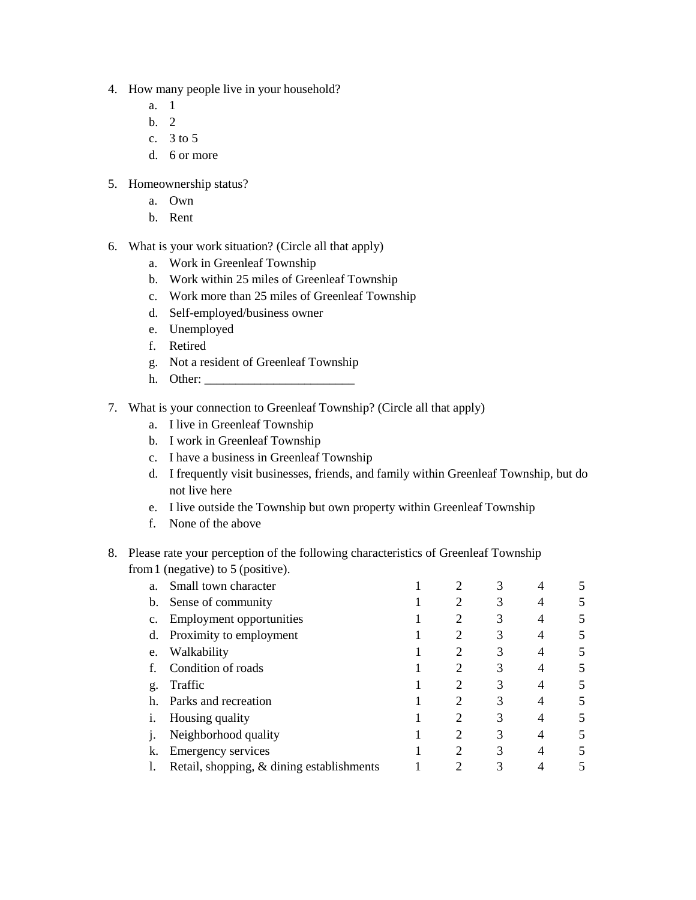- 4. How many people live in your household?
	- a. 1
	- b. 2
	- c. 3 to 5
	- d. 6 or more
- 5. Homeownership status?
	- a. Own
	- b. Rent
- 6. What is your work situation? (Circle all that apply)
	- a. Work in Greenleaf Township
	- b. Work within 25 miles of Greenleaf Township
	- c. Work more than 25 miles of Greenleaf Township
	- d. Self-employed/business owner
	- e. Unemployed
	- f. Retired
	- g. Not a resident of Greenleaf Township
	- h. Other: \_\_\_\_\_\_\_\_\_\_\_\_\_\_\_\_\_\_\_\_\_\_\_\_
- 7. What is your connection to Greenleaf Township? (Circle all that apply)
	- a. I live in Greenleaf Township
	- b. I work in Greenleaf Township
	- c. I have a business in Greenleaf Township
	- d. I frequently visit businesses, friends, and family within Greenleaf Township, but do not live here
	- e. I live outside the Township but own property within Greenleaf Township
	- f. None of the above

## 8. Please rate your perception of the following characteristics of Greenleaf Township from1 (negative) to 5 (positive).

| a. | Small town character                      |   |   |  |
|----|-------------------------------------------|---|---|--|
| b. | Sense of community                        |   |   |  |
| c. | <b>Employment opportunities</b>           |   | 3 |  |
| d. | Proximity to employment                   |   | 3 |  |
| e. | Walkability                               |   | 3 |  |
|    | Condition of roads                        |   | 3 |  |
| g. | Traffic                                   | 2 | 3 |  |
| h. | Parks and recreation                      | ↑ | 3 |  |
|    | Housing quality                           |   | 3 |  |
| ı. | Neighborhood quality                      |   | 3 |  |
| k. | <b>Emergency services</b>                 |   | 3 |  |
|    | Retail, shopping, & dining establishments |   |   |  |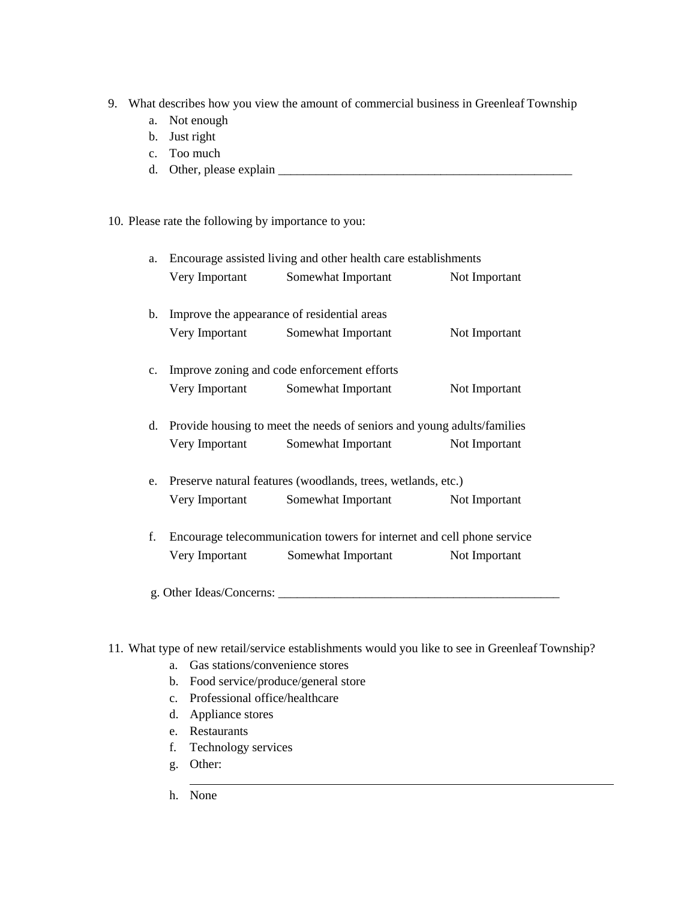- 9. What describes how you view the amount of commercial business in Greenleaf Township
	- a. Not enough
	- b. Just right
	- c. Too much
	- d. Other, please explain \_\_\_\_\_\_\_\_\_\_\_\_\_\_\_\_\_\_\_\_\_\_\_\_\_\_\_\_\_\_\_\_\_\_\_\_\_\_\_\_\_\_\_\_\_\_\_

10. Please rate the following by importance to you:

| a. | Encourage assisted living and other health care establishments               |                    |               |  |  |  |  |
|----|------------------------------------------------------------------------------|--------------------|---------------|--|--|--|--|
|    | Very Important                                                               | Somewhat Important | Not Important |  |  |  |  |
|    |                                                                              |                    |               |  |  |  |  |
|    | b. Improve the appearance of residential areas                               |                    |               |  |  |  |  |
|    | Very Important                                                               | Somewhat Important | Not Important |  |  |  |  |
|    | c. Improve zoning and code enforcement efforts                               |                    |               |  |  |  |  |
|    | Very Important                                                               | Somewhat Important | Not Important |  |  |  |  |
|    | d. Provide housing to meet the needs of seniors and young adults/families    |                    |               |  |  |  |  |
|    | Very Important                                                               | Somewhat Important | Not Important |  |  |  |  |
|    | e. Preserve natural features (woodlands, trees, wetlands, etc.)              |                    |               |  |  |  |  |
|    | Very Important                                                               | Somewhat Important | Not Important |  |  |  |  |
|    | Encourage telecommunication towers for internet and cell phone service<br>f. |                    |               |  |  |  |  |
|    | Very Important                                                               | Somewhat Important | Not Important |  |  |  |  |
|    |                                                                              |                    |               |  |  |  |  |

- 11. What type of new retail/service establishments would you like to see in Greenleaf Township?
	- a. Gas stations/convenience stores
	- b. Food service/produce/general store
	- c. Professional office/healthcare
	- d. Appliance stores
	- e. Restaurants
	- f. Technology services
	- g. Other:
	- h. None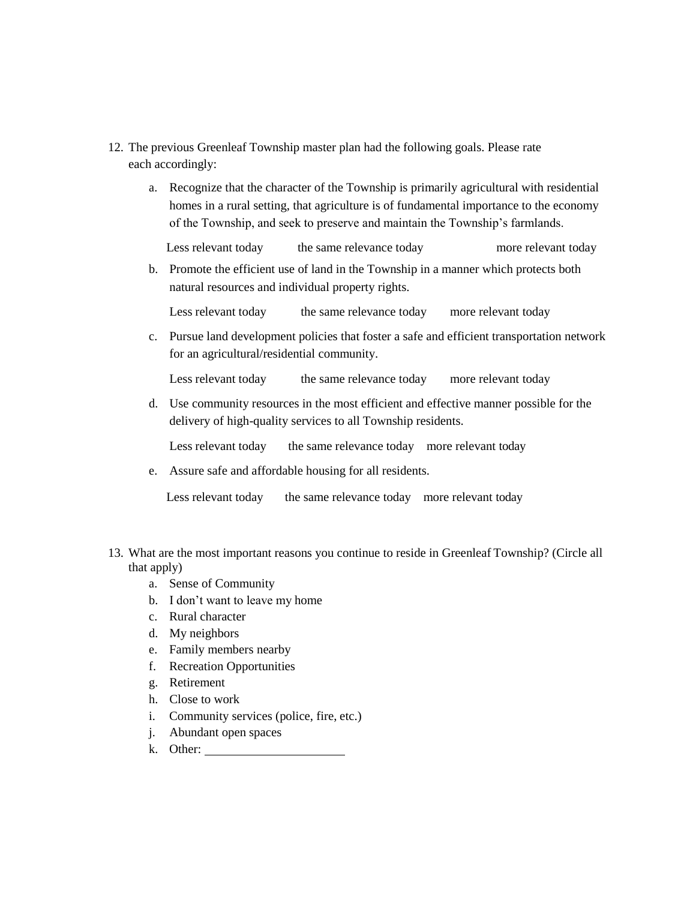- 12. The previous Greenleaf Township master plan had the following goals. Please rate each accordingly:
	- a. Recognize that the character of the Township is primarily agricultural with residential homes in a rural setting, that agriculture is of fundamental importance to the economy of the Township, and seek to preserve and maintain the Township's farmlands.

Less relevant today the same relevance today more relevant today

b. Promote the efficient use of land in the Township in a manner which protects both natural resources and individual property rights.

Less relevant today the same relevance today more relevant today

c. Pursue land development policies that foster a safe and efficient transportation network for an agricultural/residential community.

Less relevant today the same relevance today more relevant today

d. Use community resources in the most efficient and effective manner possible for the delivery of high-quality services to all Township residents.

Less relevant today the same relevance today more relevant today

e. Assure safe and affordable housing for all residents.

Less relevant today the same relevance today more relevant today

- 13. What are the most important reasons you continue to reside in Greenleaf Township? (Circle all that apply)
	- a. Sense of Community
	- b. I don't want to leave my home
	- c. Rural character
	- d. My neighbors
	- e. Family members nearby
	- f. Recreation Opportunities
	- g. Retirement
	- h. Close to work
	- i. Community services (police, fire, etc.)
	- j. Abundant open spaces
	- k. Other: